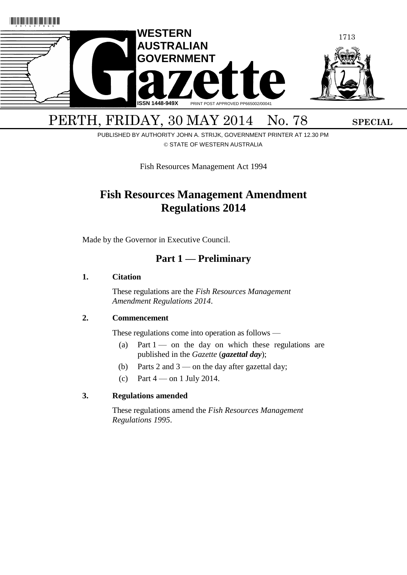

PERTH, FRIDAY, 30 MAY 2014 No. 78 SPECIAL PUBLISHED BY AUTHORITY JOHN A. STRIJK, GOVERNMENT PRINTER AT 12.30 PM

© STATE OF WESTERN AUSTRALIA

Fish Resources Management Act 1994

# **Fish Resources Management Amendment Regulations 2014**

Made by the Governor in Executive Council.

# <span id="page-0-0"></span>**Part 1 — Preliminary**

## **1. Citation**

These regulations are the *Fish Resources Management Amendment Regulations 2014*.

## **2. Commencement**

These regulations come into operation as follows —

- (a) Part  $1 1 -$  on the day on which these regulations are published in the *Gazette* (*gazettal day*);
- (b) Parts [2](#page-1-0) and [3](#page-13-0) on the day after gazettal day;
- (c) Part  $4$  on 1 July 2014.

## **3. Regulations amended**

These regulations amend the *Fish Resources Management Regulations 1995*.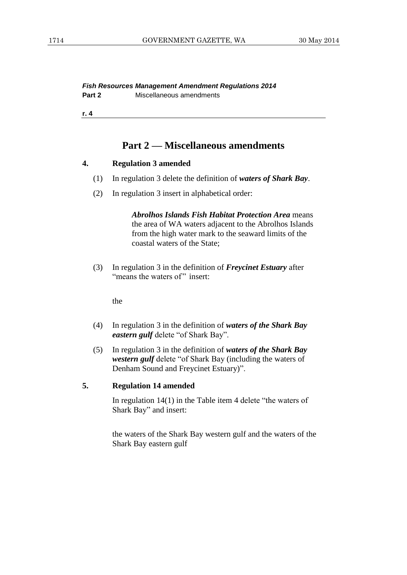## <span id="page-1-0"></span>**Part 2 — Miscellaneous amendments**

#### **4. Regulation 3 amended**

- (1) In regulation 3 delete the definition of *waters of Shark Bay*.
- (2) In regulation 3 insert in alphabetical order:

*Abrolhos Islands Fish Habitat Protection Area* means the area of WA waters adjacent to the Abrolhos Islands from the high water mark to the seaward limits of the coastal waters of the State;

(3) In regulation 3 in the definition of *Freycinet Estuary* after "means the waters of" insert:

the

- (4) In regulation 3 in the definition of *waters of the Shark Bay eastern gulf* delete "of Shark Bay".
- (5) In regulation 3 in the definition of *waters of the Shark Bay western gulf* delete "of Shark Bay (including the waters of Denham Sound and Freycinet Estuary)".

## **5. Regulation 14 amended**

In regulation 14(1) in the Table item 4 delete "the waters of Shark Bay" and insert:

the waters of the Shark Bay western gulf and the waters of the Shark Bay eastern gulf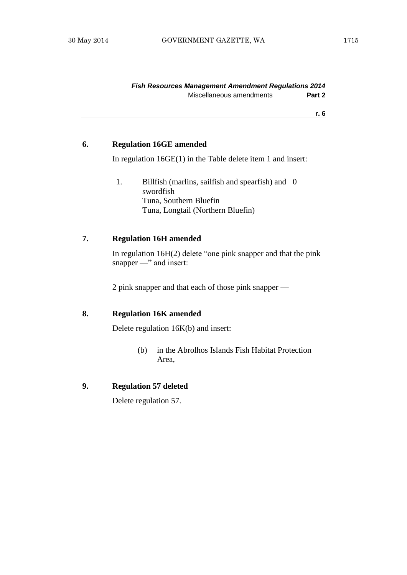## **6. Regulation 16GE amended**

In regulation 16GE(1) in the Table delete item 1 and insert:

1. Billfish (marlins, sailfish and spearfish) and 0 swordfish Tuna, Southern Bluefin Tuna, Longtail (Northern Bluefin)

## **7. Regulation 16H amended**

In regulation 16H(2) delete "one pink snapper and that the pink snapper —" and insert:

2 pink snapper and that each of those pink snapper —

## **8. Regulation 16K amended**

Delete regulation 16K(b) and insert:

(b) in the Abrolhos Islands Fish Habitat Protection Area,

## **9. Regulation 57 deleted**

Delete regulation 57.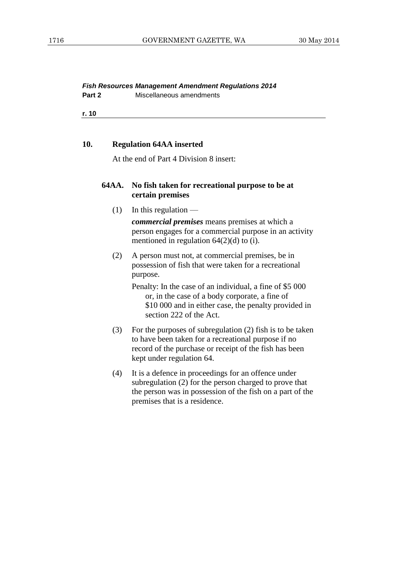## *Fish Resources Management Amendment Regulations 2014*

**Part 2** Miscellaneous amendments

**r. 10**

#### **10. Regulation 64AA inserted**

At the end of Part 4 Division 8 insert:

## **64AA. No fish taken for recreational purpose to be at certain premises**

 $(1)$  In this regulation —

*commercial premises* means premises at which a person engages for a commercial purpose in an activity mentioned in regulation 64(2)(d) to (i).

- (2) A person must not, at commercial premises, be in possession of fish that were taken for a recreational purpose.
	- Penalty: In the case of an individual, a fine of \$5 000 or, in the case of a body corporate, a fine of \$10 000 and in either case, the penalty provided in section 222 of the Act.
- (3) For the purposes of subregulation (2) fish is to be taken to have been taken for a recreational purpose if no record of the purchase or receipt of the fish has been kept under regulation 64.
- (4) It is a defence in proceedings for an offence under subregulation (2) for the person charged to prove that the person was in possession of the fish on a part of the premises that is a residence.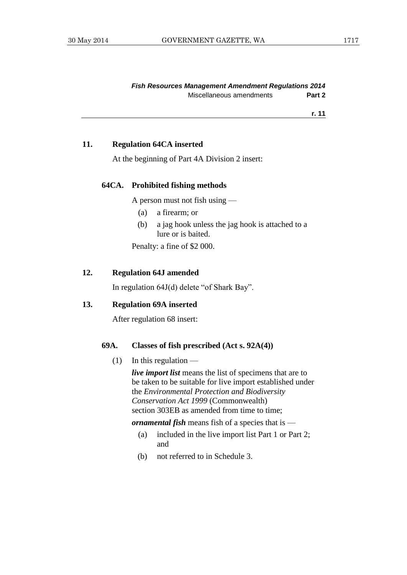#### **11. Regulation 64CA inserted**

At the beginning of Part 4A Division 2 insert:

#### **64CA. Prohibited fishing methods**

A person must not fish using —

- (a) a firearm; or
- (b) a jag hook unless the jag hook is attached to a lure or is baited.

Penalty: a fine of \$2 000.

#### **12. Regulation 64J amended**

In regulation 64J(d) delete "of Shark Bay".

#### **13. Regulation 69A inserted**

After regulation 68 insert:

## **69A. Classes of fish prescribed (Act s. 92A(4))**

 $(1)$  In this regulation —

*live import list* means the list of specimens that are to be taken to be suitable for live import established under the *Environmental Protection and Biodiversity Conservation Act 1999* (Commonwealth) section 303EB as amended from time to time;

*ornamental fish* means fish of a species that is —

- (a) included in the live import list Part 1 or Part 2; and
- (b) not referred to in Schedule 3.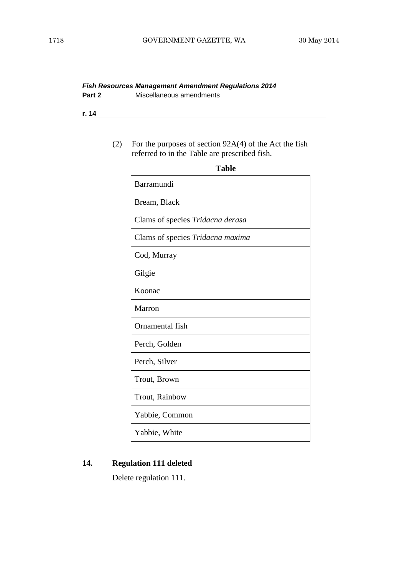#### *Fish Resources Management Amendment Regulations 2014* **Part 2** Miscellaneous amendments

**r. 14**

## (2) For the purposes of section 92A(4) of the Act the fish referred to in the Table are prescribed fish.

| Barramundi                       |
|----------------------------------|
| Bream, Black                     |
| Clams of species Tridacna derasa |
| Clams of species Tridacna maxima |
| Cod, Murray                      |
| Gilgie                           |
| Koonac                           |
| Marron                           |
| Ornamental fish                  |
| Perch, Golden                    |
| Perch, Silver                    |
| Trout, Brown                     |
| Trout, Rainbow                   |
| Yabbie, Common                   |
| Yabbie, White                    |

## **14. Regulation 111 deleted**

Delete regulation 111.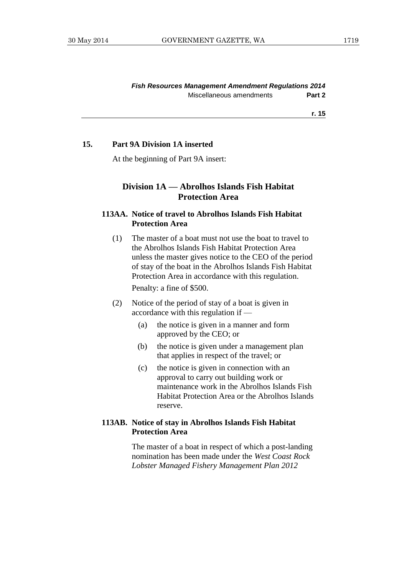#### **15. Part 9A Division 1A inserted**

At the beginning of Part 9A insert:

## **Division 1A — Abrolhos Islands Fish Habitat Protection Area**

## **113AA. Notice of travel to Abrolhos Islands Fish Habitat Protection Area**

(1) The master of a boat must not use the boat to travel to the Abrolhos Islands Fish Habitat Protection Area unless the master gives notice to the CEO of the period of stay of the boat in the Abrolhos Islands Fish Habitat Protection Area in accordance with this regulation.

Penalty: a fine of \$500.

- (2) Notice of the period of stay of a boat is given in accordance with this regulation if —
	- (a) the notice is given in a manner and form approved by the CEO; or
	- (b) the notice is given under a management plan that applies in respect of the travel; or
	- (c) the notice is given in connection with an approval to carry out building work or maintenance work in the Abrolhos Islands Fish Habitat Protection Area or the Abrolhos Islands reserve.

## **113AB. Notice of stay in Abrolhos Islands Fish Habitat Protection Area**

The master of a boat in respect of which a post-landing nomination has been made under the *West Coast Rock Lobster Managed Fishery Management Plan 2012*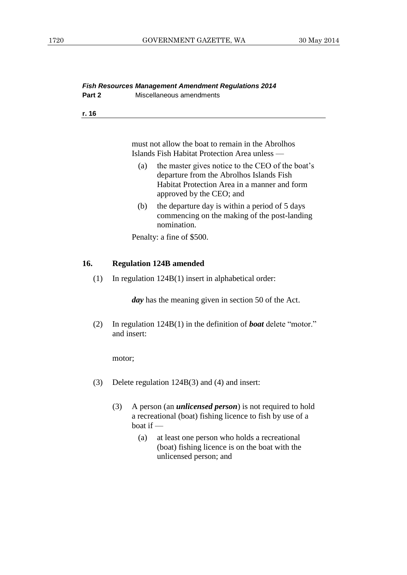|        | <b>Fish Resources Management Amendment Regulations 2014</b> |
|--------|-------------------------------------------------------------|
| Part 2 | Miscellaneous amendments                                    |

| ×.<br>×<br>۰. |
|---------------|
|---------------|

must not allow the boat to remain in the Abrolhos Islands Fish Habitat Protection Area unless —

- (a) the master gives notice to the CEO of the boat's departure from the Abrolhos Islands Fish Habitat Protection Area in a manner and form approved by the CEO; and
- (b) the departure day is within a period of 5 days commencing on the making of the post-landing nomination.

Penalty: a fine of \$500.

#### **16. Regulation 124B amended**

(1) In regulation 124B(1) insert in alphabetical order:

*day* has the meaning given in section 50 of the Act.

(2) In regulation 124B(1) in the definition of *boat* delete "motor." and insert:

motor;

- (3) Delete regulation 124B(3) and (4) and insert:
	- (3) A person (an *unlicensed person*) is not required to hold a recreational (boat) fishing licence to fish by use of a boat if —
		- (a) at least one person who holds a recreational (boat) fishing licence is on the boat with the unlicensed person; and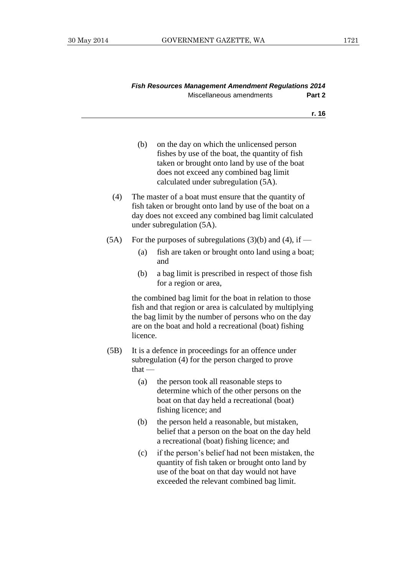| <b>Fish Resources Management Amendment Regulations 2014</b> |        |
|-------------------------------------------------------------|--------|
| Miscellaneous amendments                                    | Part 2 |

|  | ×<br>۰. |
|--|---------|
|  |         |

- (b) on the day on which the unlicensed person fishes by use of the boat, the quantity of fish taken or brought onto land by use of the boat does not exceed any combined bag limit calculated under subregulation (5A). (4) The master of a boat must ensure that the quantity of
- fish taken or brought onto land by use of the boat on a day does not exceed any combined bag limit calculated under subregulation (5A).
- (5A) For the purposes of subregulations (3)(b) and (4), if  $-$ 
	- (a) fish are taken or brought onto land using a boat; and
	- (b) a bag limit is prescribed in respect of those fish for a region or area,

the combined bag limit for the boat in relation to those fish and that region or area is calculated by multiplying the bag limit by the number of persons who on the day are on the boat and hold a recreational (boat) fishing licence.

- (5B) It is a defence in proceedings for an offence under subregulation (4) for the person charged to prove that —
	- (a) the person took all reasonable steps to determine which of the other persons on the boat on that day held a recreational (boat) fishing licence; and
	- (b) the person held a reasonable, but mistaken, belief that a person on the boat on the day held a recreational (boat) fishing licence; and
	- (c) if the person's belief had not been mistaken, the quantity of fish taken or brought onto land by use of the boat on that day would not have exceeded the relevant combined bag limit.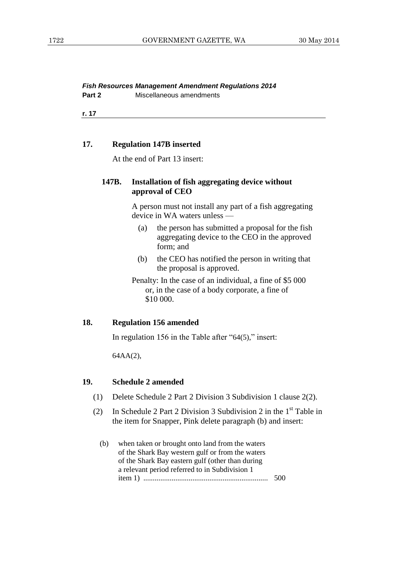**Part 2** Miscellaneous amendments

**r. 17**

#### **17. Regulation 147B inserted**

At the end of Part 13 insert:

## **147B. Installation of fish aggregating device without approval of CEO**

A person must not install any part of a fish aggregating device in WA waters unless —

- (a) the person has submitted a proposal for the fish aggregating device to the CEO in the approved form; and
- (b) the CEO has notified the person in writing that the proposal is approved.

Penalty: In the case of an individual, a fine of \$5 000 or, in the case of a body corporate, a fine of \$10 000.

#### **18. Regulation 156 amended**

In regulation 156 in the Table after "64(5)," insert:

64AA(2),

#### **19. Schedule 2 amended**

- (1) Delete Schedule 2 Part 2 Division 3 Subdivision 1 clause 2(2).
- (2) In Schedule 2 Part 2 Division 3 Subdivision 2 in the  $1<sup>st</sup>$  Table in the item for Snapper, Pink delete paragraph (b) and insert:
	- (b) when taken or brought onto land from the waters of the Shark Bay western gulf or from the waters of the Shark Bay eastern gulf (other than during a relevant period referred to in Subdivision 1 item 1) .................................................................. 500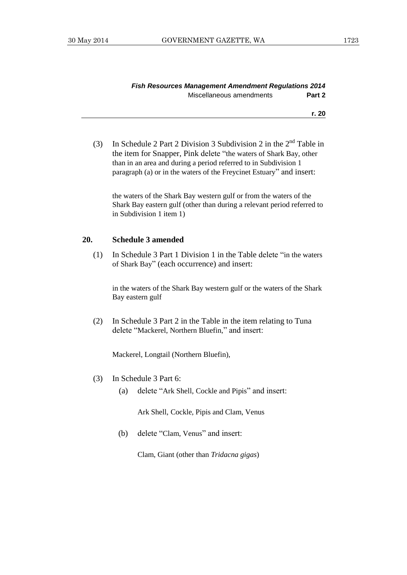(3) In Schedule 2 Part 2 Division 3 Subdivision 2 in the  $2<sup>nd</sup>$  Table in the item for Snapper, Pink delete "the waters of Shark Bay, other than in an area and during a period referred to in Subdivision 1 paragraph (a) or in the waters of the Freycinet Estuary" and insert:

the waters of the Shark Bay western gulf or from the waters of the Shark Bay eastern gulf (other than during a relevant period referred to in Subdivision 1 item 1)

#### **20. Schedule 3 amended**

(1) In Schedule 3 Part 1 Division 1 in the Table delete "in the waters of Shark Bay" (each occurrence) and insert:

in the waters of the Shark Bay western gulf or the waters of the Shark Bay eastern gulf

(2) In Schedule 3 Part 2 in the Table in the item relating to Tuna delete "Mackerel, Northern Bluefin," and insert:

Mackerel, Longtail (Northern Bluefin),

- (3) In Schedule 3 Part 6:
	- (a) delete "Ark Shell, Cockle and Pipis" and insert:

Ark Shell, Cockle, Pipis and Clam, Venus

(b) delete "Clam, Venus" and insert:

Clam, Giant (other than *Tridacna gigas*)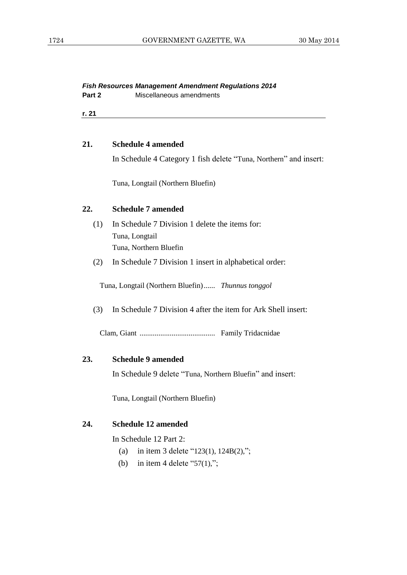|        | <b>Fish Resources Management Amendment Regulations 2014</b> |
|--------|-------------------------------------------------------------|
| Part 2 | Miscellaneous amendments                                    |

#### **21. Schedule 4 amended**

In Schedule 4 Category 1 fish delete "Tuna, Northern" and insert:

Tuna, Longtail (Northern Bluefin)

#### **22. Schedule 7 amended**

- (1) In Schedule 7 Division 1 delete the items for: Tuna, Longtail Tuna, Northern Bluefin
- (2) In Schedule 7 Division 1 insert in alphabetical order:

Tuna, Longtail (Northern Bluefin)...... *Thunnus tonggol*

(3) In Schedule 7 Division 4 after the item for Ark Shell insert:

Clam, Giant ........................................ Family Tridacnidae

#### **23. Schedule 9 amended**

In Schedule 9 delete "Tuna, Northern Bluefin" and insert:

Tuna, Longtail (Northern Bluefin)

## **24. Schedule 12 amended**

In Schedule 12 Part 2:

- (a) in item 3 delete "123(1), 124B(2),";
- (b) in item 4 delete " $57(1)$ ,";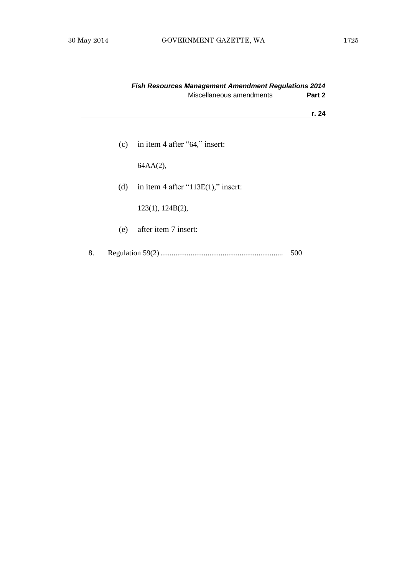|    | <b>Fish Resources Management Amendment Regulations 2014</b> |                                        |        |
|----|-------------------------------------------------------------|----------------------------------------|--------|
|    |                                                             | Miscellaneous amendments               | Part 2 |
|    |                                                             |                                        | r. 24  |
|    | (c)                                                         | in item 4 after "64," insert:          |        |
|    |                                                             | $64AA(2)$ ,                            |        |
|    | (d)                                                         | in item 4 after " $113E(1)$ ," insert: |        |
|    |                                                             | 123(1), 124B(2),                       |        |
|    | (e)                                                         | after item 7 insert:                   |        |
| 8. |                                                             |                                        | 500    |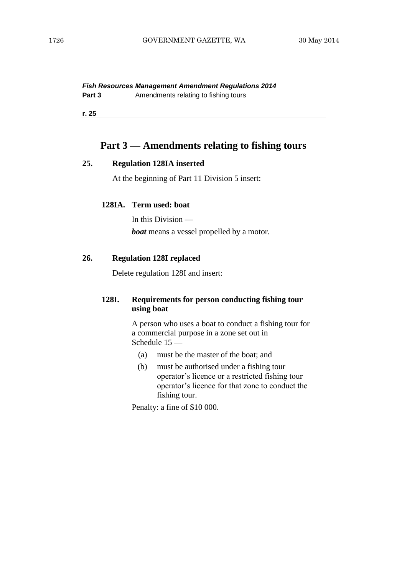**Part 3** Amendments relating to fishing tours

**r. 25**

## <span id="page-13-0"></span>**Part 3 — Amendments relating to fishing tours**

## **25. Regulation 128IA inserted**

At the beginning of Part 11 Division 5 insert:

#### **128IA. Term used: boat**

In this Division *boat* means a vessel propelled by a motor.

## **26. Regulation 128I replaced**

Delete regulation 128I and insert:

## **128I. Requirements for person conducting fishing tour using boat**

A person who uses a boat to conduct a fishing tour for a commercial purpose in a zone set out in Schedule 15 —

- (a) must be the master of the boat; and
- (b) must be authorised under a fishing tour operator's licence or a restricted fishing tour operator's licence for that zone to conduct the fishing tour.

Penalty: a fine of \$10 000.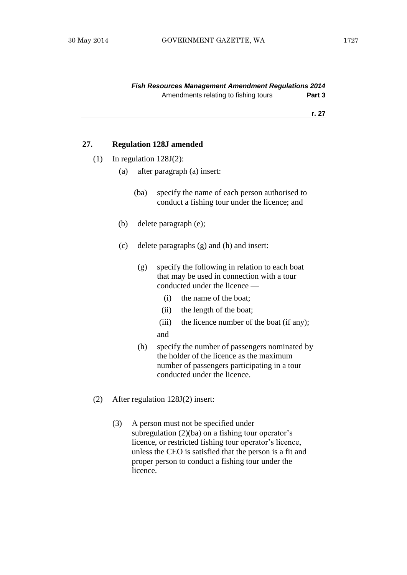## **27. Regulation 128J amended**

- (1) In regulation 128J(2):
	- (a) after paragraph (a) insert:
		- (ba) specify the name of each person authorised to conduct a fishing tour under the licence; and
	- (b) delete paragraph (e);
	- (c) delete paragraphs (g) and (h) and insert:
		- (g) specify the following in relation to each boat that may be used in connection with a tour conducted under the licence —
			- (i) the name of the boat;
			- (ii) the length of the boat;
			- (iii) the licence number of the boat (if any); and
		- (h) specify the number of passengers nominated by the holder of the licence as the maximum number of passengers participating in a tour conducted under the licence.
- (2) After regulation 128J(2) insert:
	- (3) A person must not be specified under subregulation (2)(ba) on a fishing tour operator's licence, or restricted fishing tour operator's licence, unless the CEO is satisfied that the person is a fit and proper person to conduct a fishing tour under the licence.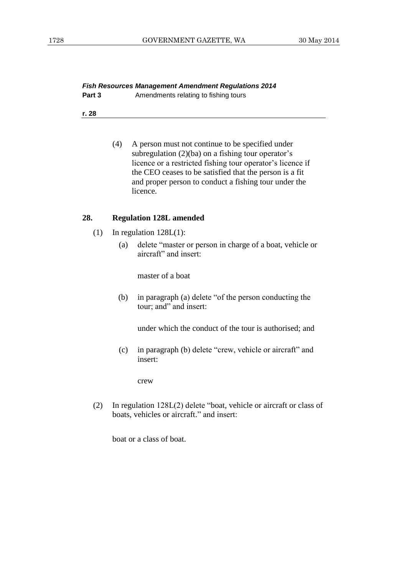#### *Fish Resources Management Amendment Regulations 2014* **Part 3** Amendments relating to fishing tours

**r. 28**

(4) A person must not continue to be specified under subregulation (2)(ba) on a fishing tour operator's licence or a restricted fishing tour operator's licence if the CEO ceases to be satisfied that the person is a fit and proper person to conduct a fishing tour under the licence.

## **28. Regulation 128L amended**

- (1) In regulation 128L(1):
	- (a) delete "master or person in charge of a boat, vehicle or aircraft" and insert:

master of a boat

(b) in paragraph (a) delete "of the person conducting the tour; and" and insert:

under which the conduct of the tour is authorised; and

(c) in paragraph (b) delete "crew, vehicle or aircraft" and insert:

crew

(2) In regulation 128L(2) delete "boat, vehicle or aircraft or class of boats, vehicles or aircraft." and insert:

boat or a class of boat.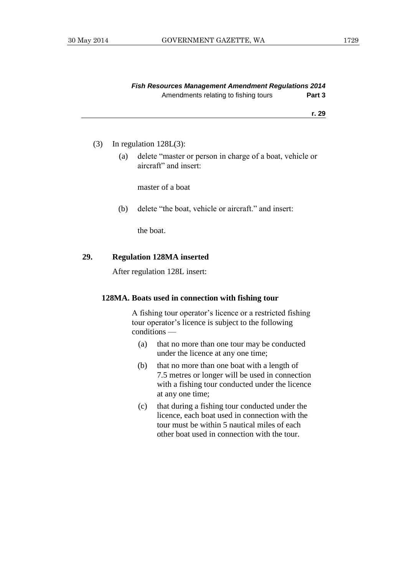| <b>Fish Resources Management Amendment Regulations 2014</b> |        |
|-------------------------------------------------------------|--------|
| Amendments relating to fishing tours                        | Part 3 |

#### (3) In regulation 128L(3):

(a) delete "master or person in charge of a boat, vehicle or aircraft" and insert:

master of a boat

(b) delete "the boat, vehicle or aircraft." and insert:

the boat.

#### **29. Regulation 128MA inserted**

After regulation 128L insert:

#### **128MA. Boats used in connection with fishing tour**

A fishing tour operator's licence or a restricted fishing tour operator's licence is subject to the following conditions —

- (a) that no more than one tour may be conducted under the licence at any one time;
- (b) that no more than one boat with a length of 7.5 metres or longer will be used in connection with a fishing tour conducted under the licence at any one time;
- (c) that during a fishing tour conducted under the licence, each boat used in connection with the tour must be within 5 nautical miles of each other boat used in connection with the tour.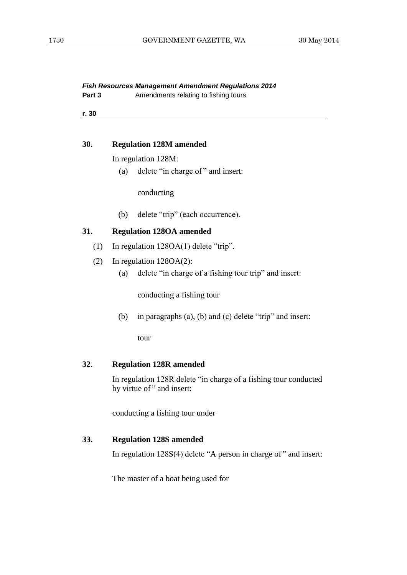- **Part 3** Amendments relating to fishing tours
- **r. 30**

#### **30. Regulation 128M amended**

In regulation 128M:

(a) delete "in charge of " and insert:

conducting

(b) delete "trip" (each occurrence).

## **31. Regulation 128OA amended**

- (1) In regulation 128OA(1) delete "trip".
- (2) In regulation 128OA(2):
	- (a) delete "in charge of a fishing tour trip" and insert:

conducting a fishing tour

(b) in paragraphs (a), (b) and (c) delete "trip" and insert:

tour

## **32. Regulation 128R amended**

In regulation 128R delete "in charge of a fishing tour conducted by virtue of" and insert:

conducting a fishing tour under

## **33. Regulation 128S amended**

In regulation 128S(4) delete "A person in charge of " and insert:

The master of a boat being used for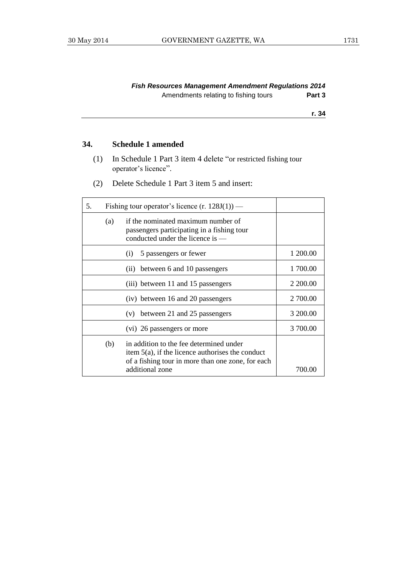## *Fish Resources Management Amendment Regulations 2014* Amendments relating to fishing tours **Part 3**

**r. 34**

## **34. Schedule 1 amended**

- (1) In Schedule 1 Part 3 item 4 delete "or restricted fishing tour operator's licence".
- (2) Delete Schedule 1 Part 3 item 5 and insert:

| 5. | Fishing tour operator's licence $(r. 128J(1))$ — |                                                                                                                                                                        |          |
|----|--------------------------------------------------|------------------------------------------------------------------------------------------------------------------------------------------------------------------------|----------|
|    | (a)                                              | if the nominated maximum number of<br>passengers participating in a fishing tour<br>conducted under the licence is $-$                                                 |          |
|    |                                                  | 5 passengers or fewer<br>(1)                                                                                                                                           | 1 200.00 |
|    |                                                  | between 6 and 10 passengers<br>(11)                                                                                                                                    | 1 700.00 |
|    |                                                  | (iii) between 11 and 15 passengers                                                                                                                                     | 2 200.00 |
|    |                                                  | (iv) between 16 and 20 passengers                                                                                                                                      | 2 700.00 |
|    |                                                  | between 21 and 25 passengers<br>(v)                                                                                                                                    | 3 200.00 |
|    |                                                  | (vi) 26 passengers or more                                                                                                                                             | 3 700.00 |
|    | (b)                                              | in addition to the fee determined under<br>item $5(a)$ , if the licence authorises the conduct<br>of a fishing tour in more than one zone, for each<br>additional zone | 700.00   |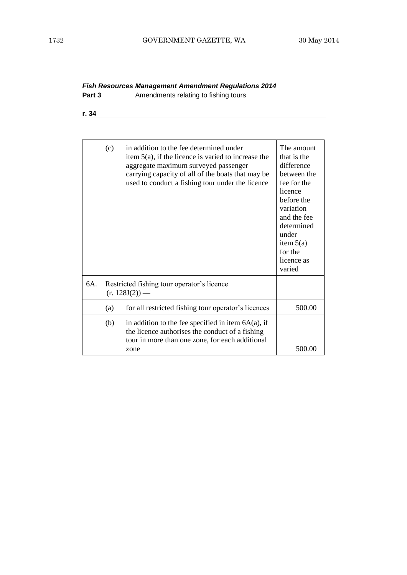# *Fish Resources Management Amendment Regulations 2014*

- **Part 3** Amendments relating to fishing tours
- **r. 34**

|     | (c)                                                            | in addition to the fee determined under<br>item $5(a)$ , if the licence is varied to increase the<br>aggregate maximum surveyed passenger<br>carrying capacity of all of the boats that may be<br>used to conduct a fishing tour under the licence | The amount<br>that is the<br>difference<br>between the<br>fee for the<br>licence<br>before the<br>variation<br>and the fee<br>determined<br>under<br>item $5(a)$<br>for the<br>licence as<br>varied |
|-----|----------------------------------------------------------------|----------------------------------------------------------------------------------------------------------------------------------------------------------------------------------------------------------------------------------------------------|-----------------------------------------------------------------------------------------------------------------------------------------------------------------------------------------------------|
| 6A. | Restricted fishing tour operator's licence<br>$(r. 128J(2))$ — |                                                                                                                                                                                                                                                    |                                                                                                                                                                                                     |
|     | (a)                                                            | for all restricted fishing tour operator's licences                                                                                                                                                                                                | 500.00                                                                                                                                                                                              |
|     | (b)                                                            | in addition to the fee specified in item $6A(a)$ , if<br>the licence authorises the conduct of a fishing<br>tour in more than one zone, for each additional<br>zone                                                                                | 500.00                                                                                                                                                                                              |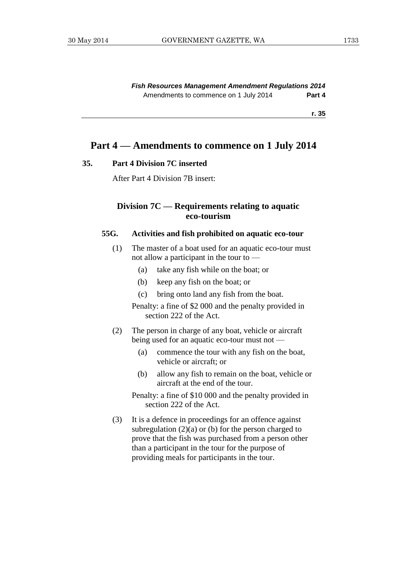*Fish Resources Management Amendment Regulations 2014* Amendments to commence on 1 July 2014 **Part 4**

**r. 35**

## <span id="page-20-0"></span>**Part 4 — Amendments to commence on 1 July 2014**

#### **35. Part 4 Division 7C inserted**

After Part 4 Division 7B insert:

## **Division 7C — Requirements relating to aquatic eco-tourism**

## **55G. Activities and fish prohibited on aquatic eco-tour**

- (1) The master of a boat used for an aquatic eco-tour must not allow a participant in the tour to —
	- (a) take any fish while on the boat; or
	- (b) keep any fish on the boat; or
	- (c) bring onto land any fish from the boat.

Penalty: a fine of \$2 000 and the penalty provided in section 222 of the Act.

- (2) The person in charge of any boat, vehicle or aircraft being used for an aquatic eco-tour must not —
	- (a) commence the tour with any fish on the boat, vehicle or aircraft; or
	- (b) allow any fish to remain on the boat, vehicle or aircraft at the end of the tour.
	- Penalty: a fine of \$10 000 and the penalty provided in section 222 of the Act.
- (3) It is a defence in proceedings for an offence against subregulation  $(2)(a)$  or (b) for the person charged to prove that the fish was purchased from a person other than a participant in the tour for the purpose of providing meals for participants in the tour.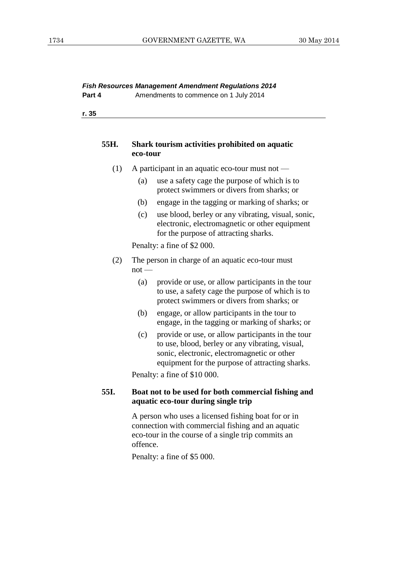## *Fish Resources Management Amendment Regulations 2014*

| Part 4<br>Amendments to commence on 1 July 2014 |  |  |
|-------------------------------------------------|--|--|
|-------------------------------------------------|--|--|

**r. 35**

#### **55H. Shark tourism activities prohibited on aquatic eco-tour**

- (1) A participant in an aquatic eco-tour must not
	- (a) use a safety cage the purpose of which is to protect swimmers or divers from sharks; or
	- (b) engage in the tagging or marking of sharks; or
	- (c) use blood, berley or any vibrating, visual, sonic, electronic, electromagnetic or other equipment for the purpose of attracting sharks.

Penalty: a fine of \$2 000.

- (2) The person in charge of an aquatic eco-tour must  $not$  —
	- (a) provide or use, or allow participants in the tour to use, a safety cage the purpose of which is to protect swimmers or divers from sharks; or
	- (b) engage, or allow participants in the tour to engage, in the tagging or marking of sharks; or
	- (c) provide or use, or allow participants in the tour to use, blood, berley or any vibrating, visual, sonic, electronic, electromagnetic or other equipment for the purpose of attracting sharks.

Penalty: a fine of \$10 000.

## **55I. Boat not to be used for both commercial fishing and aquatic eco-tour during single trip**

A person who uses a licensed fishing boat for or in connection with commercial fishing and an aquatic eco-tour in the course of a single trip commits an offence.

Penalty: a fine of \$5 000.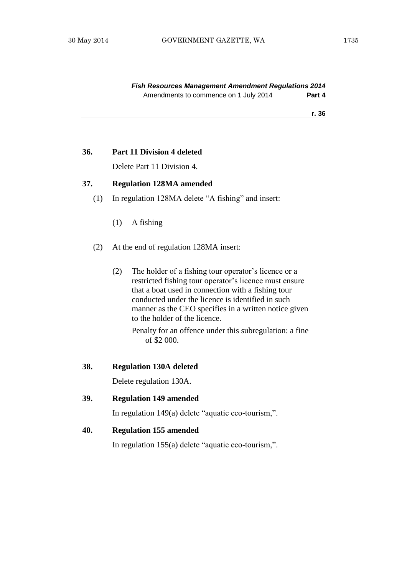#### **36. Part 11 Division 4 deleted**

Delete Part 11 Division 4.

## **37. Regulation 128MA amended**

- (1) In regulation 128MA delete "A fishing" and insert:
	- (1) A fishing
- (2) At the end of regulation 128MA insert:
	- (2) The holder of a fishing tour operator's licence or a restricted fishing tour operator's licence must ensure that a boat used in connection with a fishing tour conducted under the licence is identified in such manner as the CEO specifies in a written notice given to the holder of the licence.

Penalty for an offence under this subregulation: a fine of \$2 000.

#### **38. Regulation 130A deleted**

Delete regulation 130A.

**39. Regulation 149 amended**

In regulation 149(a) delete "aquatic eco-tourism,".

#### **40. Regulation 155 amended**

In regulation 155(a) delete "aquatic eco-tourism,".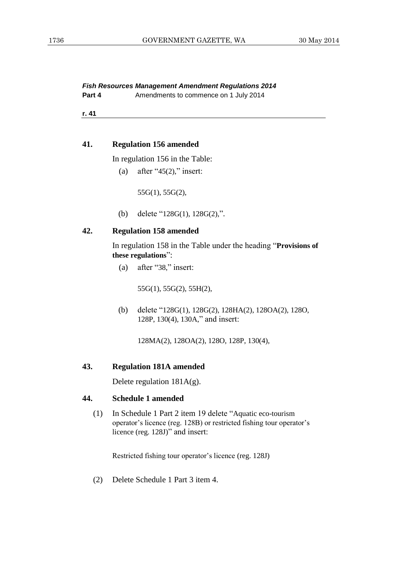**Part 4** Amendments to commence on 1 July 2014

**r. 41**

## **41. Regulation 156 amended**

In regulation 156 in the Table:

(a) after " $45(2)$ ," insert:

55G(1), 55G(2),

(b) delete "128G(1), 128G(2),".

## **42. Regulation 158 amended**

In regulation 158 in the Table under the heading "**Provisions of these regulations**":

(a) after "38," insert:

55G(1), 55G(2), 55H(2),

(b) delete "128G(1), 128G(2), 128HA(2), 128OA(2), 128O, 128P, 130(4), 130A," and insert:

128MA(2), 128OA(2), 128O, 128P, 130(4),

#### **43. Regulation 181A amended**

Delete regulation 181A(g).

#### **44. Schedule 1 amended**

(1) In Schedule 1 Part 2 item 19 delete "Aquatic eco-tourism operator's licence (reg. 128B) or restricted fishing tour operator's licence (reg. 128J)" and insert:

Restricted fishing tour operator's licence (reg. 128J)

(2) Delete Schedule 1 Part 3 item 4.